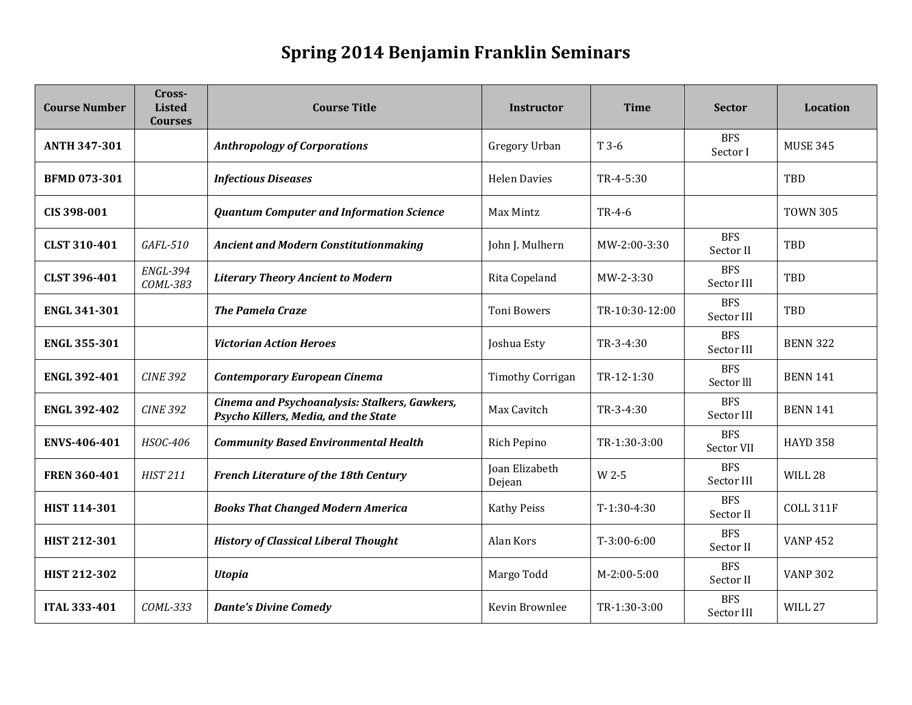## **Spring 2014 Benjamin Franklin Seminars**

| <b>Course Number</b> | Cross-<br><b>Listed</b><br><b>Courses</b> | <b>Course Title</b>                                                                   | Instructor               | <b>Time</b>    | <b>Sector</b>            | <b>Location</b>    |
|----------------------|-------------------------------------------|---------------------------------------------------------------------------------------|--------------------------|----------------|--------------------------|--------------------|
| <b>ANTH 347-301</b>  |                                           | <b>Anthropology of Corporations</b>                                                   | Gregory Urban            | T 3-6          | <b>BFS</b><br>Sector I   | <b>MUSE 345</b>    |
| <b>BFMD 073-301</b>  |                                           | <b>Infectious Diseases</b>                                                            | <b>Helen Davies</b>      | $TR-4-5:30$    |                          | TBD                |
| CIS 398-001          |                                           | <b>Quantum Computer and Information Science</b>                                       | Max Mintz                | TR-4-6         |                          | <b>TOWN 305</b>    |
| <b>CLST 310-401</b>  | GAFL-510                                  | <b>Ancient and Modern Constitutionmaking</b>                                          | John J. Mulhern          | MW-2:00-3:30   | <b>BFS</b><br>Sector II  | TBD                |
| <b>CLST 396-401</b>  | <b>ENGL-394</b><br>COML-383               | <b>Literary Theory Ancient to Modern</b>                                              | Rita Copeland            | MW-2-3:30      | <b>BFS</b><br>Sector III | TBD                |
| <b>ENGL 341-301</b>  |                                           | <b>The Pamela Craze</b>                                                               | <b>Toni Bowers</b>       | TR-10:30-12:00 | <b>BFS</b><br>Sector III | TBD                |
| <b>ENGL 355-301</b>  |                                           | <b>Victorian Action Heroes</b>                                                        | Joshua Esty              | TR-3-4:30      | <b>BFS</b><br>Sector III | <b>BENN 322</b>    |
| <b>ENGL 392-401</b>  | <b>CINE 392</b>                           | <b>Contemporary European Cinema</b>                                                   | <b>Timothy Corrigan</b>  | TR-12-1:30     | <b>BFS</b><br>Sector III | <b>BENN 141</b>    |
| <b>ENGL 392-402</b>  | <b>CINE 392</b>                           | Cinema and Psychoanalysis: Stalkers, Gawkers,<br>Psycho Killers, Media, and the State | Max Cavitch              | $TR-3-4:30$    | <b>BFS</b><br>Sector III | <b>BENN 141</b>    |
| <b>ENVS-406-401</b>  | HSOC-406                                  | <b>Community Based Environmental Health</b>                                           | Rich Pepino              | TR-1:30-3:00   | <b>BFS</b><br>Sector VII | <b>HAYD 358</b>    |
| <b>FREN 360-401</b>  | <b>HIST 211</b>                           | <b>French Literature of the 18th Century</b>                                          | Joan Elizabeth<br>Dejean | W 2-5          | <b>BFS</b><br>Sector III | WILL 28            |
| <b>HIST 114-301</b>  |                                           | <b>Books That Changed Modern America</b>                                              | <b>Kathy Peiss</b>       | $T-1:30-4:30$  | <b>BFS</b><br>Sector II  | <b>COLL 311F</b>   |
| <b>HIST 212-301</b>  |                                           | <b>History of Classical Liberal Thought</b>                                           | Alan Kors                | $T-3:00-6:00$  | <b>BFS</b><br>Sector II  | <b>VANP 452</b>    |
| HIST 212-302         |                                           | <b>Utopia</b>                                                                         | Margo Todd               | $M-2:00-5:00$  | <b>BFS</b><br>Sector II  | <b>VANP 302</b>    |
| <b>ITAL 333-401</b>  | COML-333                                  | <b>Dante's Divine Comedy</b>                                                          | Kevin Brownlee           | TR-1:30-3:00   | <b>BFS</b><br>Sector III | WILL <sub>27</sub> |